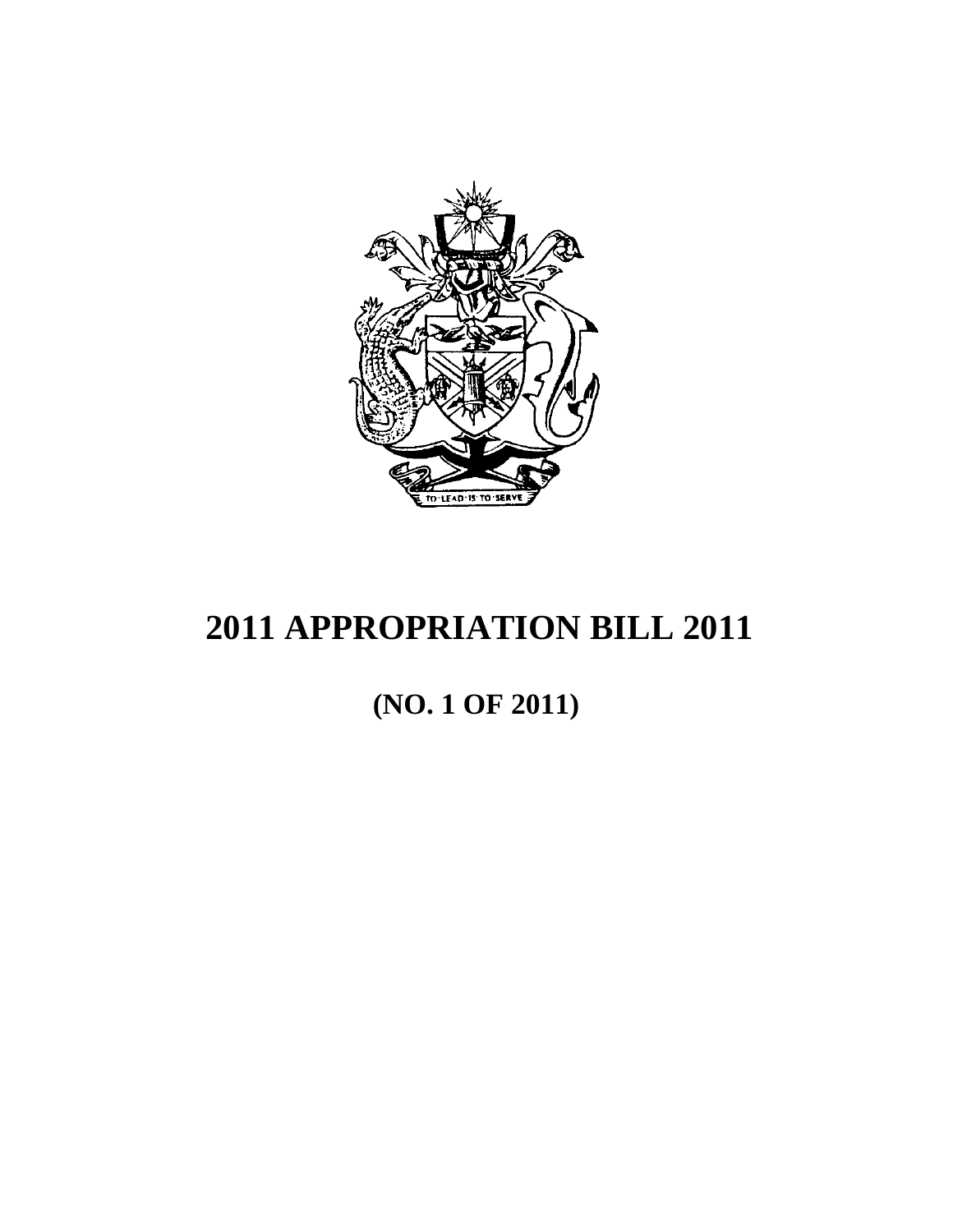

# **(NO. 1 OF 2011)**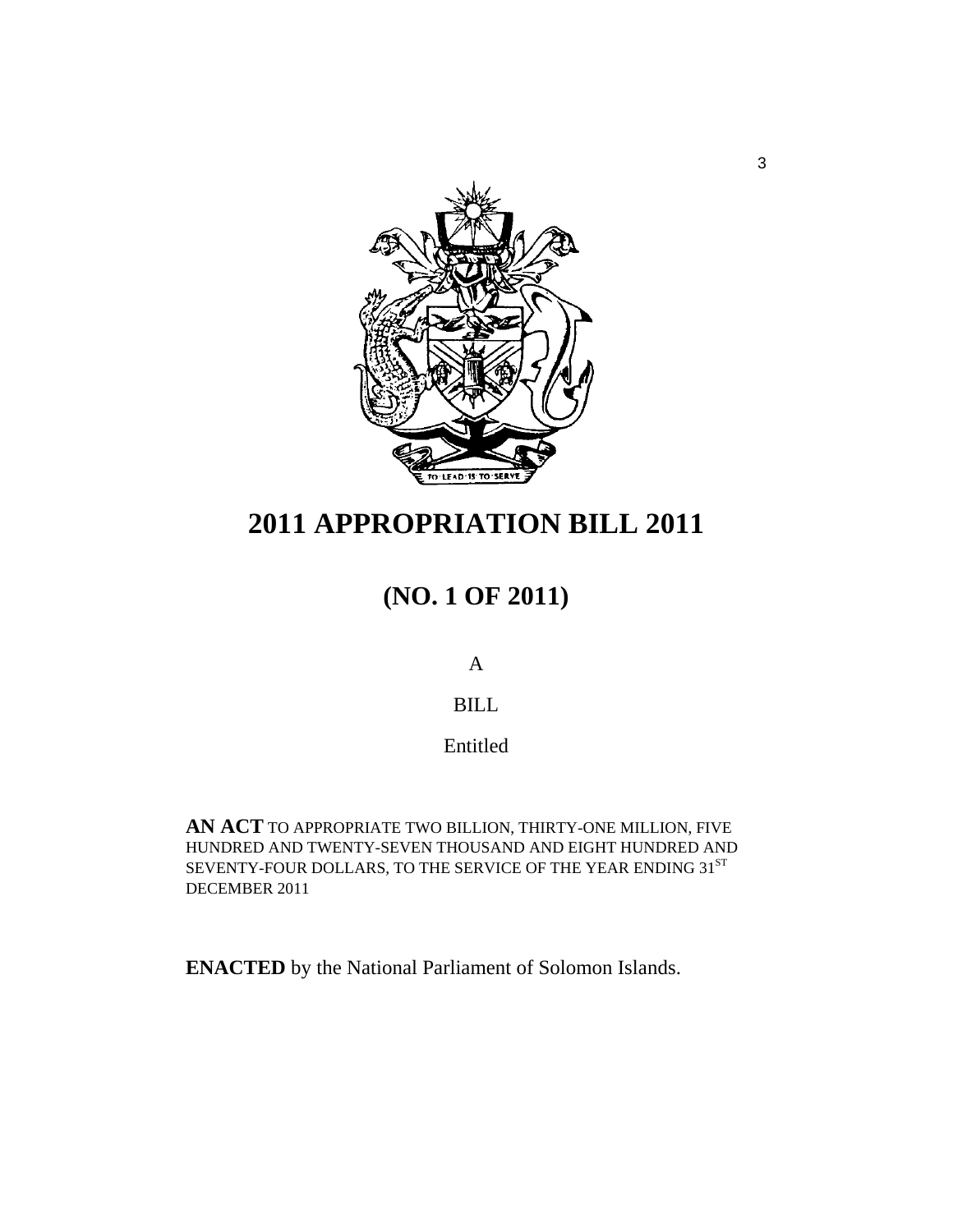

# **(NO. 1 OF 2011)**

A

### BILL

Entitled

**AN ACT** TO APPROPRIATE TWO BILLION, THIRTY-ONE MILLION, FIVE HUNDRED AND TWENTY-SEVEN THOUSAND AND EIGHT HUNDRED AND SEVENTY-FOUR DOLLARS, TO THE SERVICE OF THE YEAR ENDING 31ST DECEMBER 2011

**ENACTED** by the National Parliament of Solomon Islands.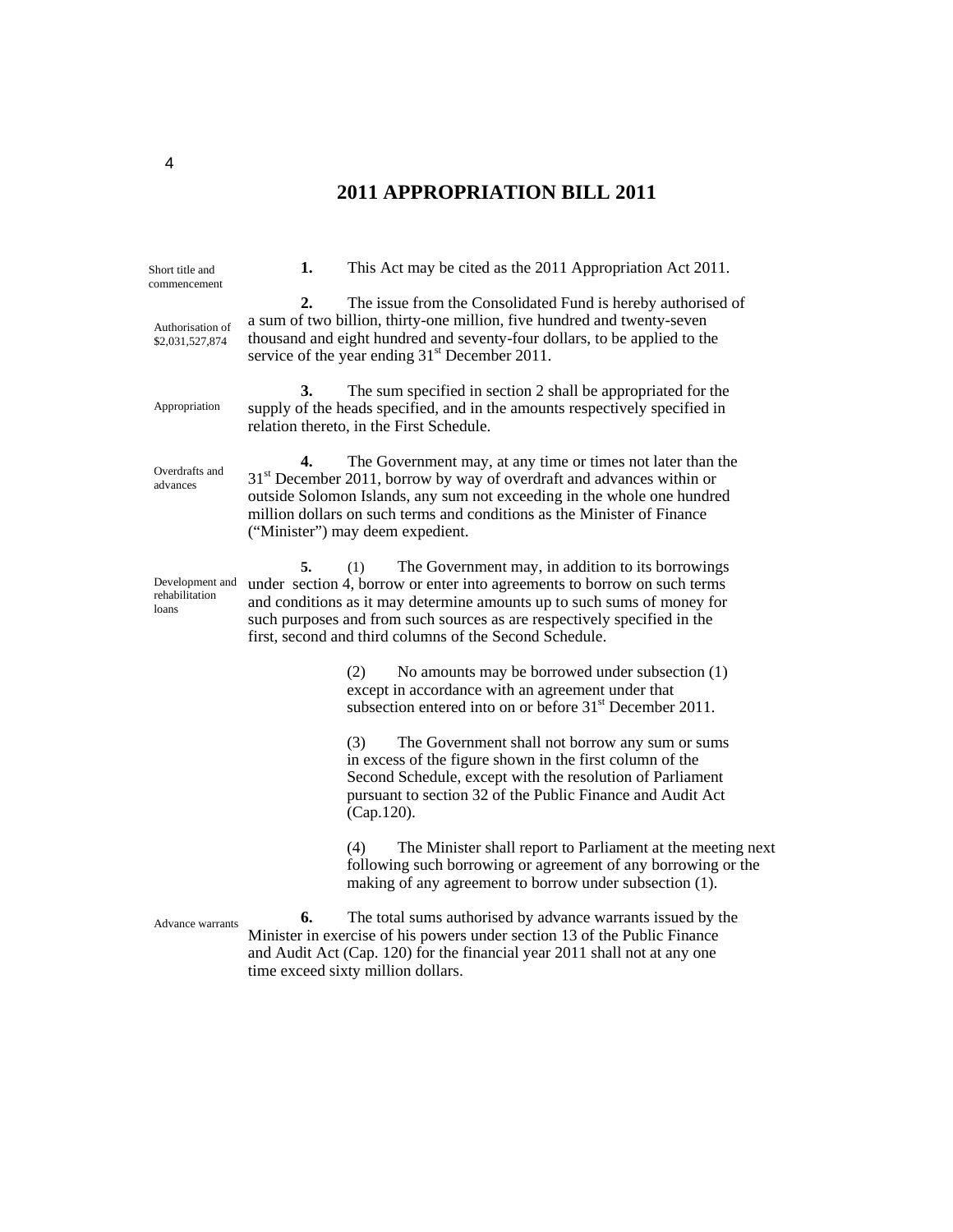| Short title and<br>commencement            | 1. | This Act may be cited as the 2011 Appropriation Act 2011.                                                                                                                                                                                                                                                                                              |  |
|--------------------------------------------|----|--------------------------------------------------------------------------------------------------------------------------------------------------------------------------------------------------------------------------------------------------------------------------------------------------------------------------------------------------------|--|
| Authorisation of<br>\$2,031,527,874        | 2. | The issue from the Consolidated Fund is hereby authorised of<br>a sum of two billion, thirty-one million, five hundred and twenty-seven<br>thousand and eight hundred and seventy-four dollars, to be applied to the<br>service of the year ending 31 <sup>st</sup> December 2011.                                                                     |  |
| Appropriation                              | 3. | The sum specified in section 2 shall be appropriated for the<br>supply of the heads specified, and in the amounts respectively specified in<br>relation thereto, in the First Schedule.                                                                                                                                                                |  |
| Overdrafts and<br>advances                 | 4. | The Government may, at any time or times not later than the<br>$31st$ December 2011, borrow by way of overdraft and advances within or<br>outside Solomon Islands, any sum not exceeding in the whole one hundred<br>million dollars on such terms and conditions as the Minister of Finance<br>("Minister") may deem expedient.                       |  |
| Development and<br>rehabilitation<br>loans | 5. | The Government may, in addition to its borrowings<br>(1)<br>under section 4, borrow or enter into agreements to borrow on such terms<br>and conditions as it may determine amounts up to such sums of money for<br>such purposes and from such sources as are respectively specified in the<br>first, second and third columns of the Second Schedule. |  |
|                                            |    | No amounts may be borrowed under subsection (1)<br>(2)<br>except in accordance with an agreement under that<br>subsection entered into on or before 31 <sup>st</sup> December 2011.                                                                                                                                                                    |  |
|                                            |    | (3)<br>The Government shall not borrow any sum or sums<br>in excess of the figure shown in the first column of the<br>Second Schedule, except with the resolution of Parliament<br>pursuant to section 32 of the Public Finance and Audit Act<br>(Cap.120).                                                                                            |  |
|                                            |    | The Minister shall report to Parliament at the meeting next<br>(4)<br>following such borrowing or agreement of any borrowing or the<br>making of any agreement to borrow under subsection (1).                                                                                                                                                         |  |
| Advance warrants                           | 6. | The total sums authorised by advance warrants issued by the<br>Minister in exercise of his powers under section 13 of the Public Finance<br>and Audit Act (Cap. 120) for the financial year 2011 shall not at any one<br>time exceed sixty million dollars.                                                                                            |  |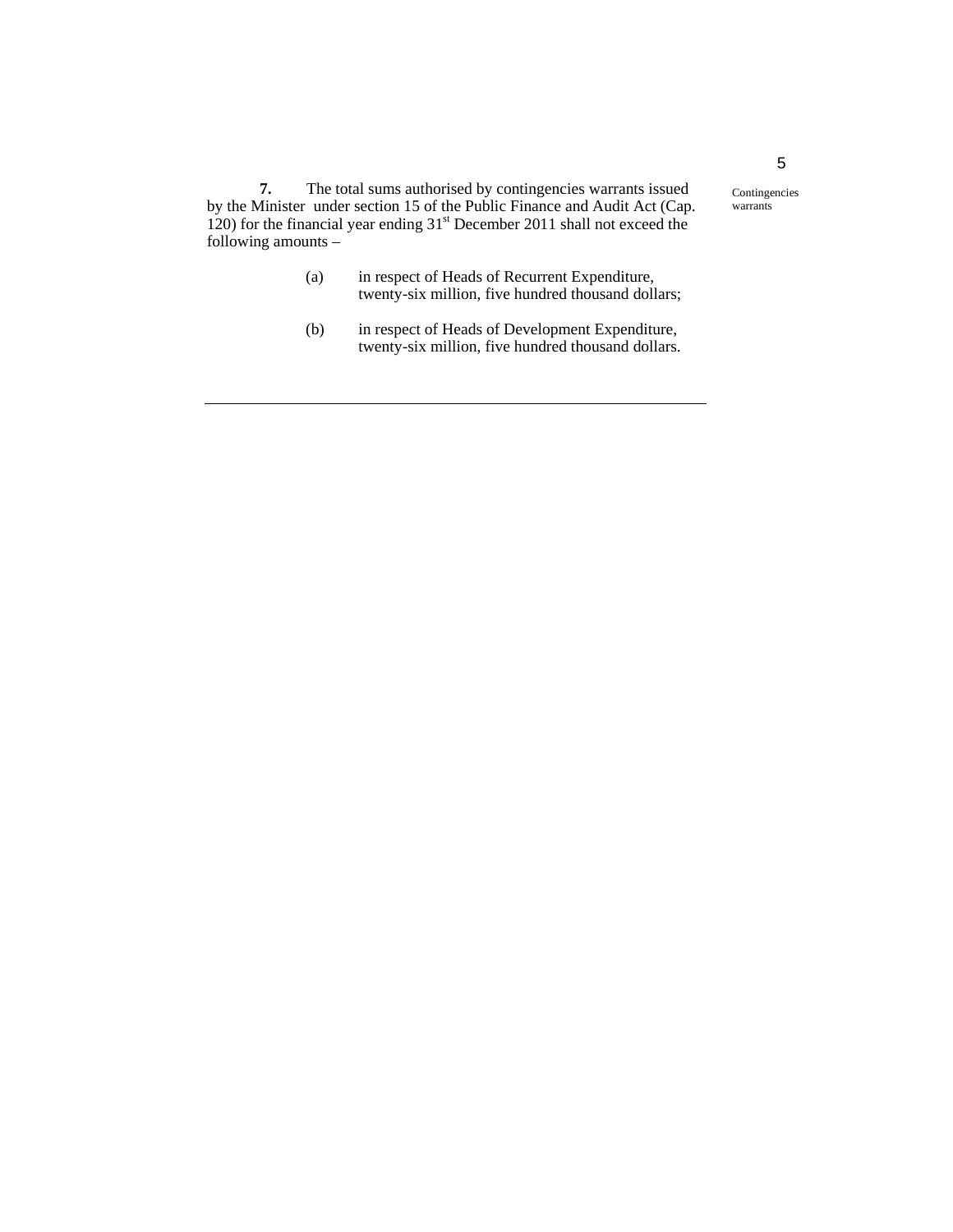**7.** The total sums authorised by contingencies warrants issued by the Minister under section 15 of the Public Finance and Audit Act (Cap. 120) for the financial year ending 31<sup>st</sup> December 2011 shall not exceed the following amounts –

- (a) in respect of Heads of Recurrent Expenditure, twenty-six million, five hundred thousand dollars;
- (b) in respect of Heads of Development Expenditure, twenty-six million, five hundred thousand dollars.

Contingencies warrants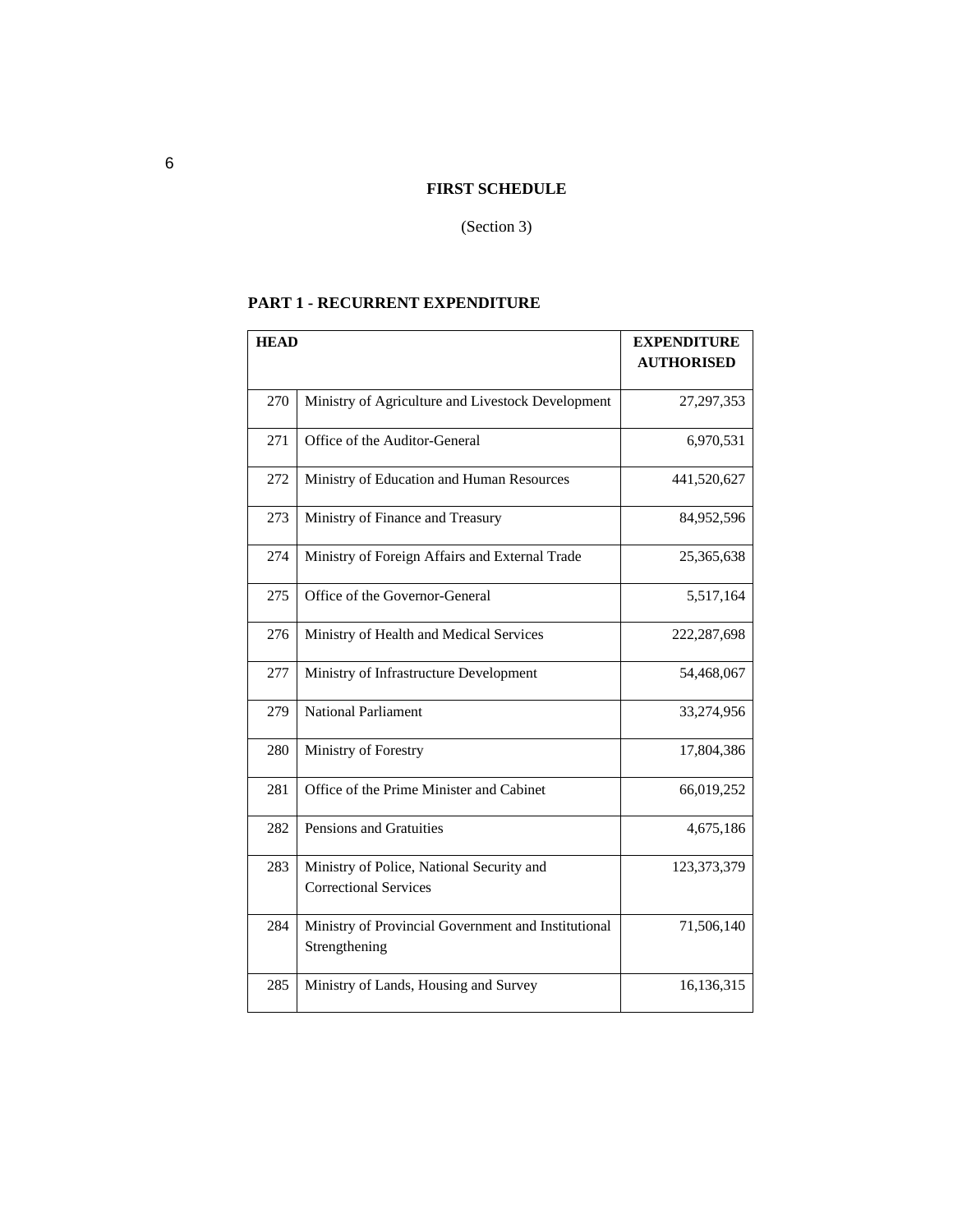#### **FIRST SCHEDULE**

#### (Section 3)

### **PART 1 - RECURRENT EXPENDITURE**

| <b>HEAD</b> |                                                                      | <b>EXPENDITURE</b> |
|-------------|----------------------------------------------------------------------|--------------------|
|             |                                                                      | <b>AUTHORISED</b>  |
| 270         | Ministry of Agriculture and Livestock Development                    | 27, 297, 353       |
|             |                                                                      |                    |
| 271         | Office of the Auditor-General                                        | 6,970,531          |
| 272         | Ministry of Education and Human Resources                            | 441,520,627        |
| 273         | Ministry of Finance and Treasury                                     | 84,952,596         |
| 274         | Ministry of Foreign Affairs and External Trade                       | 25,365,638         |
| 275         | Office of the Governor-General                                       | 5,517,164          |
| 276         | Ministry of Health and Medical Services                              | 222,287,698        |
| 277         | Ministry of Infrastructure Development                               | 54,468,067         |
| 279         | <b>National Parliament</b>                                           | 33,274,956         |
| 280         | Ministry of Forestry                                                 | 17,804,386         |
| 281         | Office of the Prime Minister and Cabinet                             | 66,019,252         |
| 282         | Pensions and Gratuities                                              | 4,675,186          |
| 283         | Ministry of Police, National Security and                            | 123,373,379        |
|             | <b>Correctional Services</b>                                         |                    |
| 284         | Ministry of Provincial Government and Institutional<br>Strengthening | 71,506,140         |
|             |                                                                      |                    |
| 285         | Ministry of Lands, Housing and Survey                                | 16,136,315         |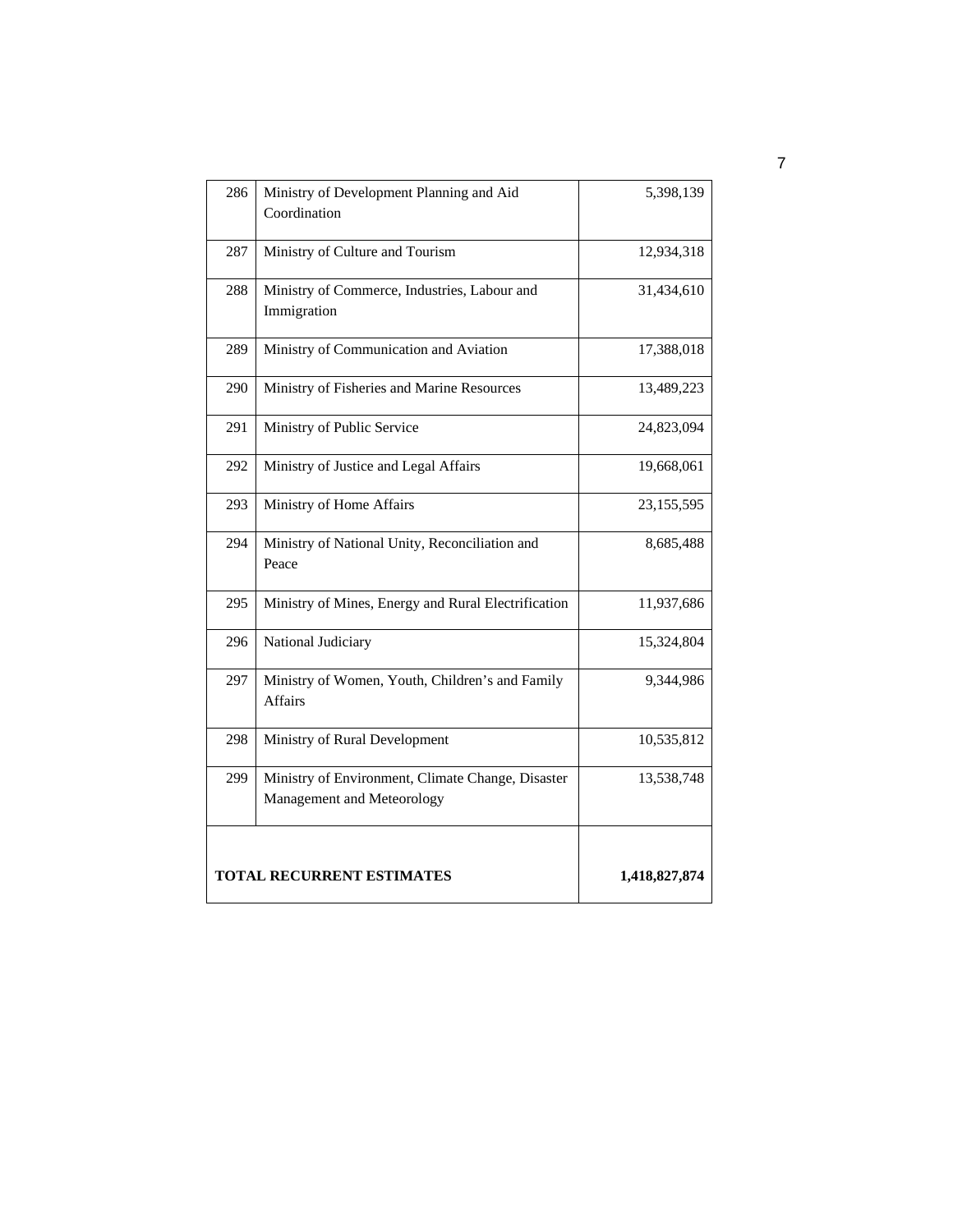| 286 | Ministry of Development Planning and Aid<br>Coordination                        | 5,398,139     |
|-----|---------------------------------------------------------------------------------|---------------|
| 287 | Ministry of Culture and Tourism                                                 | 12,934,318    |
| 288 | Ministry of Commerce, Industries, Labour and<br>Immigration                     | 31,434,610    |
| 289 | Ministry of Communication and Aviation                                          | 17,388,018    |
| 290 | Ministry of Fisheries and Marine Resources                                      | 13,489,223    |
| 291 | Ministry of Public Service                                                      | 24,823,094    |
| 292 | Ministry of Justice and Legal Affairs                                           | 19,668,061    |
| 293 | Ministry of Home Affairs                                                        | 23, 155, 595  |
| 294 | Ministry of National Unity, Reconciliation and<br>Peace                         | 8,685,488     |
| 295 | Ministry of Mines, Energy and Rural Electrification                             | 11,937,686    |
| 296 | National Judiciary                                                              | 15,324,804    |
| 297 | Ministry of Women, Youth, Children's and Family<br><b>Affairs</b>               | 9,344,986     |
| 298 | Ministry of Rural Development                                                   | 10,535,812    |
| 299 | Ministry of Environment, Climate Change, Disaster<br>Management and Meteorology | 13,538,748    |
|     | TOTAL RECURRENT ESTIMATES                                                       | 1,418,827,874 |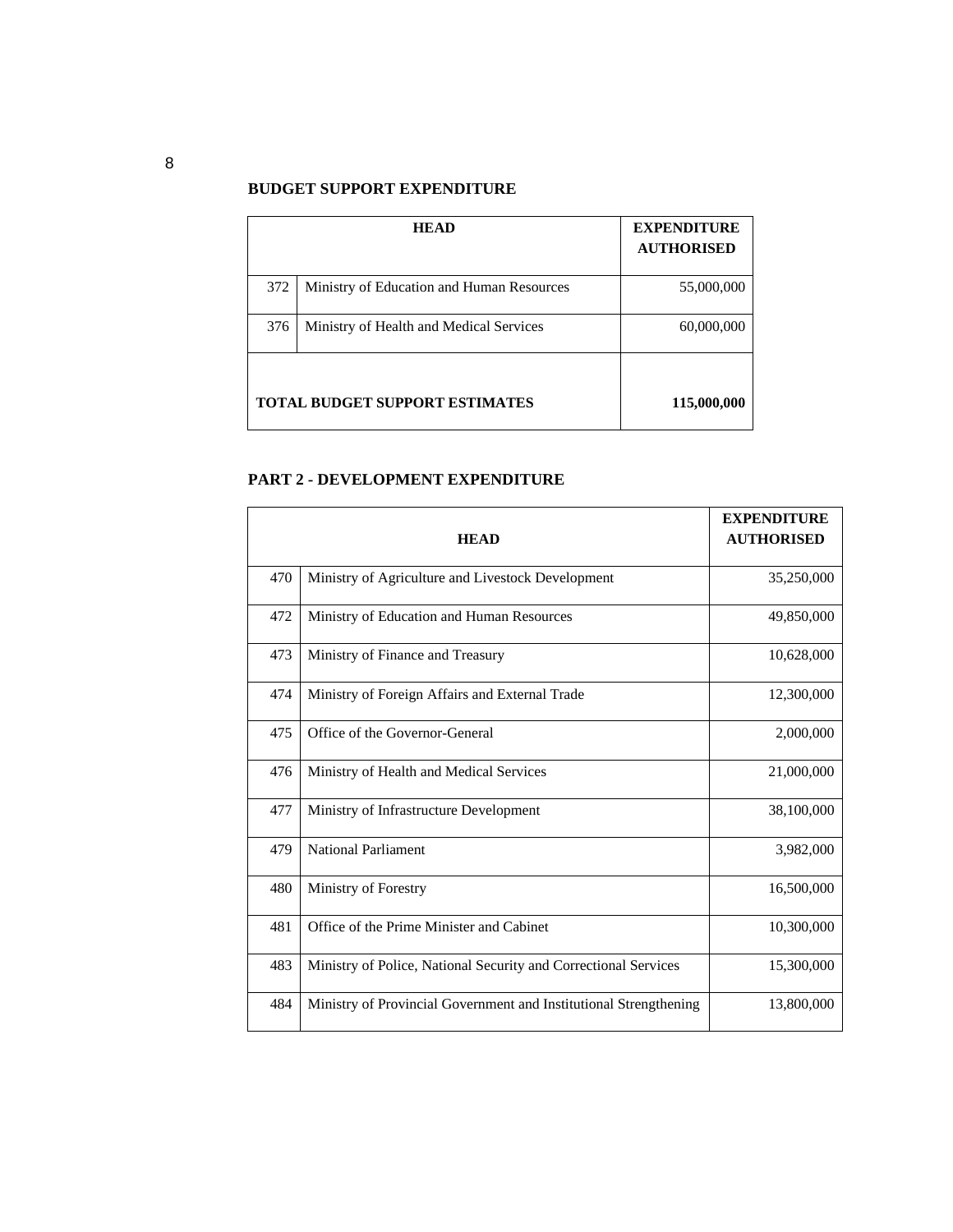#### **BUDGET SUPPORT EXPENDITURE**

|     | <b>HEAD</b>                               | <b>EXPENDITURE</b><br><b>AUTHORISED</b> |
|-----|-------------------------------------------|-----------------------------------------|
| 372 | Ministry of Education and Human Resources | 55,000,000                              |
| 376 | Ministry of Health and Medical Services   | 60,000,000                              |
|     | <b>TOTAL BUDGET SUPPORT ESTIMATES</b>     | 115,000,000                             |

#### **PART 2 - DEVELOPMENT EXPENDITURE**

|     | <b>HEAD</b>                                                       | <b>EXPENDITURE</b><br><b>AUTHORISED</b> |
|-----|-------------------------------------------------------------------|-----------------------------------------|
| 470 | Ministry of Agriculture and Livestock Development                 | 35,250,000                              |
| 472 | Ministry of Education and Human Resources                         | 49,850,000                              |
| 473 | Ministry of Finance and Treasury                                  | 10,628,000                              |
| 474 | Ministry of Foreign Affairs and External Trade                    | 12,300,000                              |
| 475 | Office of the Governor-General                                    | 2,000,000                               |
| 476 | Ministry of Health and Medical Services                           | 21,000,000                              |
| 477 | Ministry of Infrastructure Development                            | 38,100,000                              |
| 479 | <b>National Parliament</b>                                        | 3,982,000                               |
| 480 | Ministry of Forestry                                              | 16,500,000                              |
| 481 | Office of the Prime Minister and Cabinet                          | 10,300,000                              |
| 483 | Ministry of Police, National Security and Correctional Services   | 15,300,000                              |
| 484 | Ministry of Provincial Government and Institutional Strengthening | 13,800,000                              |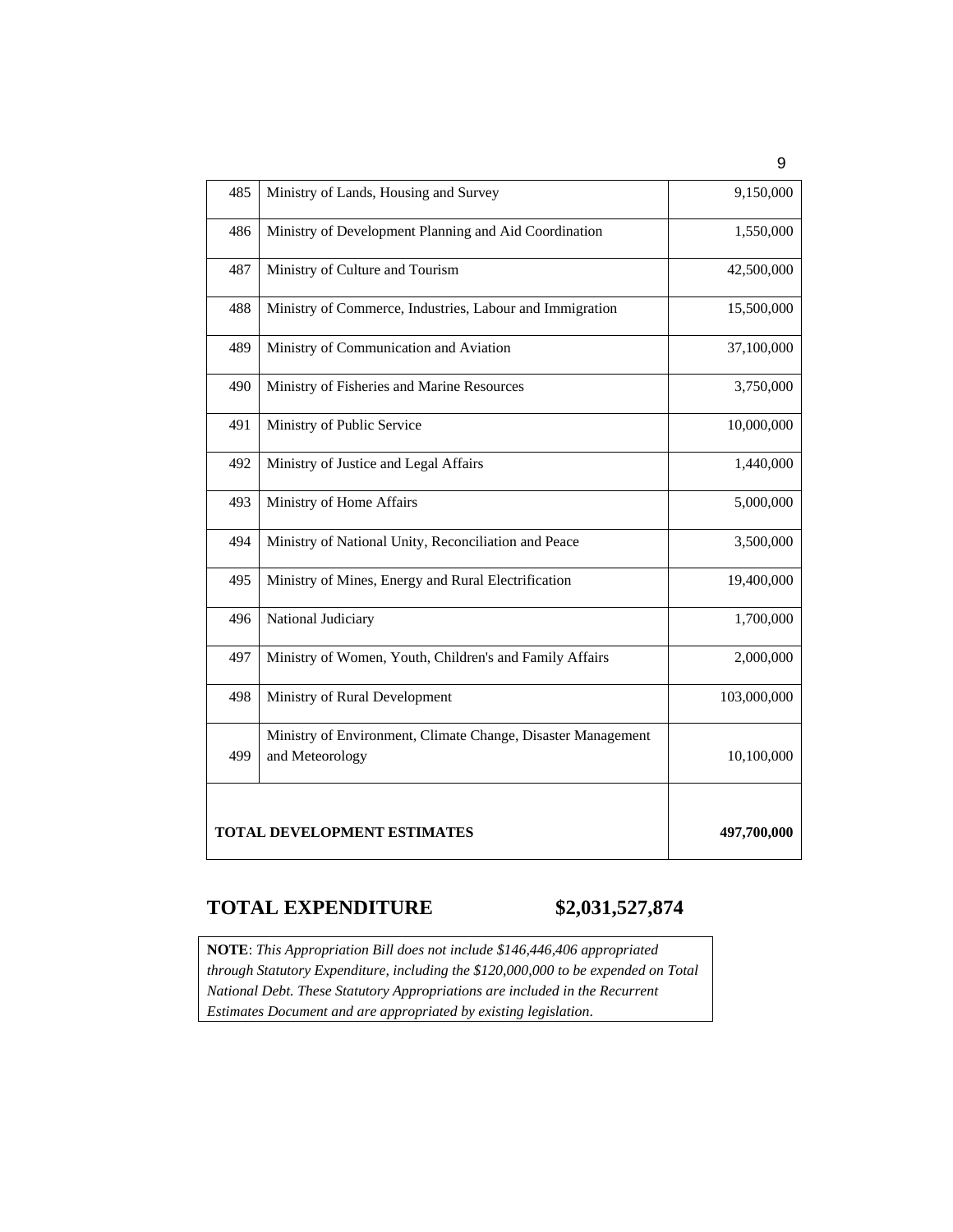| 485 | Ministry of Lands, Housing and Survey                        | 9,150,000   |
|-----|--------------------------------------------------------------|-------------|
| 486 | Ministry of Development Planning and Aid Coordination        | 1,550,000   |
| 487 | Ministry of Culture and Tourism                              | 42,500,000  |
| 488 | Ministry of Commerce, Industries, Labour and Immigration     | 15,500,000  |
| 489 | Ministry of Communication and Aviation                       | 37,100,000  |
| 490 | Ministry of Fisheries and Marine Resources                   | 3,750,000   |
| 491 | Ministry of Public Service                                   | 10,000,000  |
| 492 | Ministry of Justice and Legal Affairs                        | 1,440,000   |
| 493 | Ministry of Home Affairs                                     | 5,000,000   |
| 494 | Ministry of National Unity, Reconciliation and Peace         | 3,500,000   |
| 495 | Ministry of Mines, Energy and Rural Electrification          | 19,400,000  |
| 496 | National Judiciary                                           | 1,700,000   |
| 497 | Ministry of Women, Youth, Children's and Family Affairs      | 2,000,000   |
| 498 | Ministry of Rural Development                                | 103,000,000 |
|     | Ministry of Environment, Climate Change, Disaster Management |             |
| 499 | and Meteorology                                              | 10,100,000  |
|     |                                                              |             |
|     |                                                              |             |
|     | <b>TOTAL DEVELOPMENT ESTIMATES</b>                           | 497,700,000 |

## **TOTAL EXPENDITURE \$2,031,527,874**

**NOTE**: *This Appropriation Bill does not include \$146,446,406 appropriated through Statutory Expenditure, including the \$120,000,000 to be expended on Total National Debt. These Statutory Appropriations are included in the Recurrent Estimates Document and are appropriated by existing legislation*.

9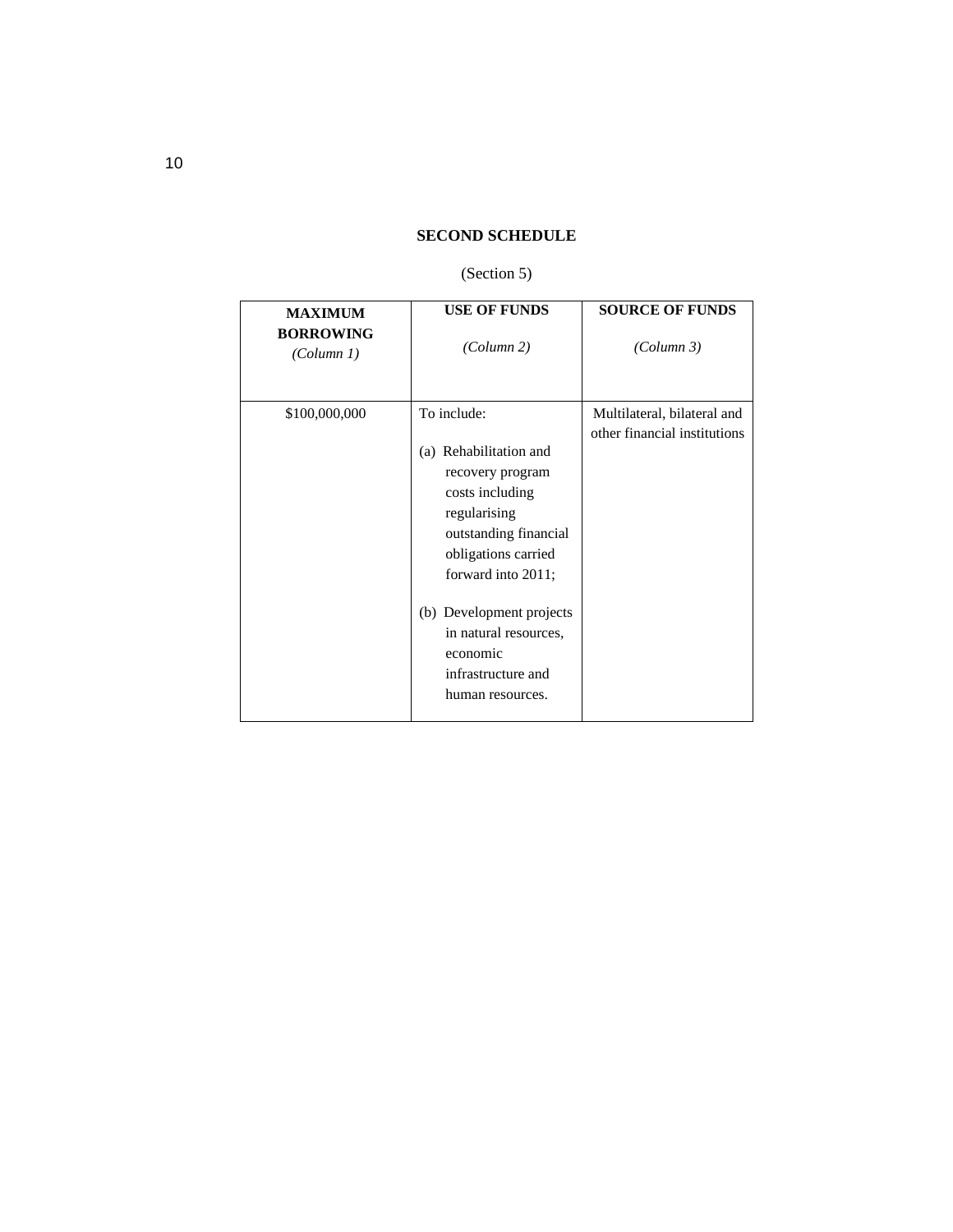#### **SECOND SCHEDULE**

#### (Section 5)

| <b>MAXIMUM</b><br><b>BORROWING</b><br>(Column 1) | <b>USE OF FUNDS</b><br>(Column 2)                                                                                                                                                                                                                                             | <b>SOURCE OF FUNDS</b><br>(Column 3)                        |
|--------------------------------------------------|-------------------------------------------------------------------------------------------------------------------------------------------------------------------------------------------------------------------------------------------------------------------------------|-------------------------------------------------------------|
| \$100,000,000                                    | To include:<br>(a) Rehabilitation and<br>recovery program<br>costs including<br>regularising<br>outstanding financial<br>obligations carried<br>forward into 2011;<br>(b) Development projects<br>in natural resources,<br>economic<br>infrastructure and<br>human resources. | Multilateral, bilateral and<br>other financial institutions |